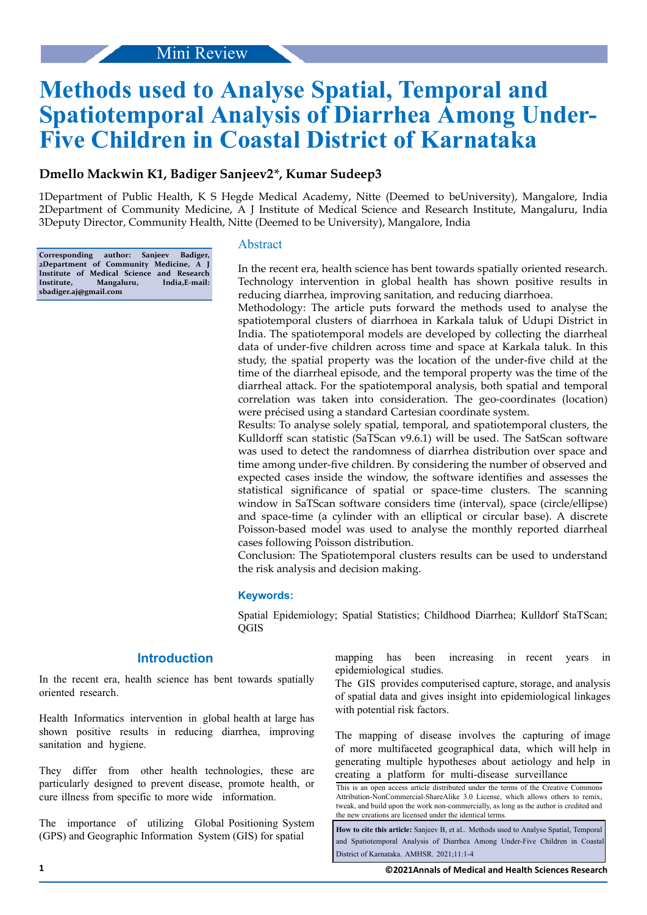# **Methods used to Analyse Spatial, Temporal and Spatiotemporal Analysis of Diarrhea Among Under-Five Children in Coastal District of Karnataka**

## **Dmello Mackwin K1, Badiger Sanjeev2***\****, Kumar Sudeep3**

1Department of Public Health, K S Hegde Medical Academy, Nitte (Deemed to beUniversity), Mangalore, India 2Department of Community Medicine, A J Institute of Medical Science and Research Institute, Mangaluru, India 3Deputy Director, Community Health, Nitte (Deemed to be University), Mangalore, India

**Corresponding author: Sanjeev Badiger, 2Department of Community Medicine, A J Institute of Medical Science and Research Institute, Mangaluru, India,E-mail: sbadiger.aj@gmail.com**

## Abstract

In the recent era, health science has bent towards spatially oriented research. Technology intervention in global health has shown positive results in reducing diarrhea, improving sanitation, and reducing diarrhoea.

Methodology: The article puts forward the methods used to analyse the spatiotemporal clusters of diarrhoea in Karkala taluk of Udupi District in India. The spatiotemporal models are developed by collecting the diarrheal data of under-five children across time and space at Karkala taluk. In this study, the spatial property was the location of the under-five child at the time of the diarrheal episode, and the temporal property was the time of the diarrheal attack. For the spatiotemporal analysis, both spatial and temporal correlation was taken into consideration. The geo-coordinates (location) were précised using a standard Cartesian coordinate system.

Results: To analyse solely spatial, temporal, and spatiotemporal clusters, the Kulldorff scan statistic (SaTScan v9.6.1) will be used. The SatScan software was used to detect the randomness of diarrhea distribution over space and time among under-five children. By considering the number of observed and expected cases inside the window, the software identifies and assesses the statistical significance of spatial or space-time clusters. The scanning window in SaTScan software considers time (interval), space (circle/ellipse) and space-time (a cylinder with an elliptical or circular base). A discrete Poisson-based model was used to analyse the monthly reported diarrheal cases following Poisson distribution.

Conclusion: The Spatiotemporal clusters results can be used to understand the risk analysis and decision making.

#### **Keywords:**

Spatial Epidemiology; Spatial Statistics; Childhood Diarrhea; Kulldorf StaTScan; **QGIS** 

## **Introduction**

In the recent era, health science has bent towards spatially oriented research.

Health Informatics intervention in global health at large has shown positive results in reducing diarrhea, improving sanitation and hygiene.

They differ from other health technologies, these are particularly designed to prevent disease, promote health, or cure illness from specific to more wide information.

The importance of utilizing Global Positioning System (GPS) and Geographic Information System (GIS) for spatial

mapping has been increasing in recent years in epidemiological studies.

The GIS provides computerised capture, storage, and analysis of spatial data and gives insight into epidemiological linkages with potential risk factors.

The mapping of disease involves the capturing of image of more multifaceted geographical data, which will help in generating multiple hypotheses about aetiology and help in creating a platform for multi-disease surveillance

**How to cite this article:** Sanjeev B, et al.. Methods used to Analyse Spatial, Temporal and Spatiotemporal Analysis of Diarrhea Among Under-Five Children in Coastal District of Karnataka. AMHSR. 2021;11:1-4

This is an open access article distributed under the terms of the Creative Commons Attribution-NonCommercial-ShareAlike 3.0 License, which allows others to remix, tweak, and build upon the work non‑commercially, as long as the author is credited and the new creations are licensed under the identical terms.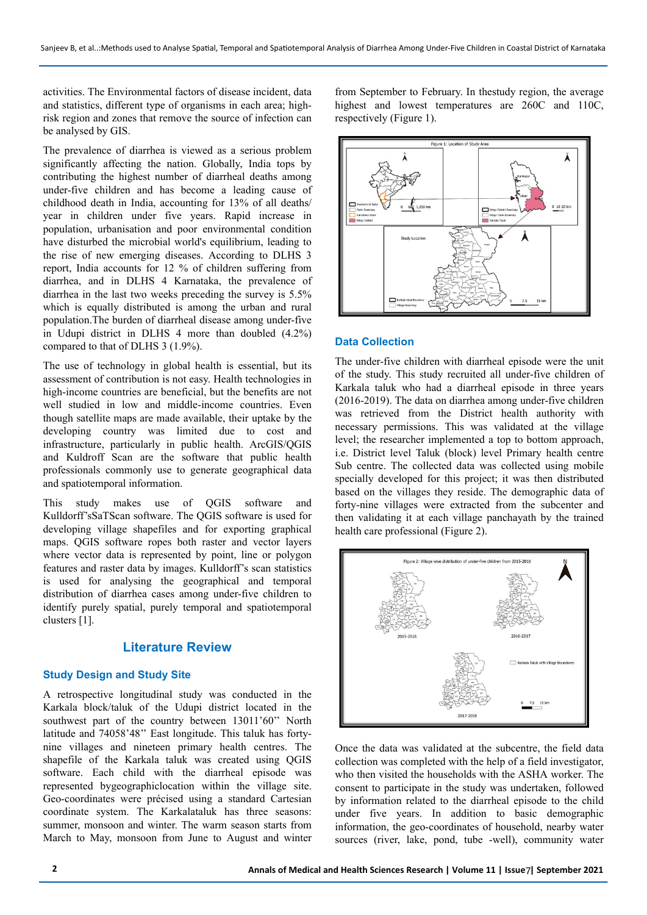activities. The Environmental factors of disease incident, data and statistics, different type of organisms in each area; highrisk region and zones that remove the source of infection can be analysed by GIS.

The prevalence of diarrhea is viewed as a serious problem significantly affecting the nation. Globally, India tops by contributing the highest number of diarrheal deaths among under-five children and has become a leading cause of childhood death in India, accounting for 13% of all deaths/ year in children under five years. Rapid increase in population, urbanisation and poor environmental condition have disturbed the microbial world's equilibrium, leading to the rise of new emerging diseases. According to DLHS 3 report, India accounts for 12 % of children suffering from diarrhea, and in DLHS 4 Karnataka, the prevalence of diarrhea in the last two weeks preceding the survey is 5.5% which is equally distributed is among the urban and rural population.The burden of diarrheal disease among under-five in Udupi district in DLHS 4 more than doubled (4.2%) compared to that of DLHS 3 (1.9%).

The use of technology in global health is essential, but its assessment of contribution is not easy. Health technologies in high-income countries are beneficial, but the benefits are not well studied in low and middle-income countries. Even though satellite maps are made available, their uptake by the developing country was limited due to cost and infrastructure, particularly in public health. ArcGIS/QGIS and Kuldroff Scan are the software that public health professionals commonly use to generate geographical data and spatiotemporal information.

This study makes use of QGIS software and Kulldorff'sSaTScan software. The QGIS software is used for developing village shapefiles and for exporting graphical maps. QGIS software ropes both raster and vector layers where vector data is represented by point, line or polygon features and raster data by images. Kulldorff's scan statistics is used for analysing the geographical and temporal distribution of diarrhea cases among under-five children to identify purely spatial, purely temporal and spatiotemporal clusters [1].

## **Literature Review**

### **Study Design and Study Site**

A retrospective longitudinal study was conducted in the Karkala block/taluk of the Udupi district located in the southwest part of the country between 13011'60'' North latitude and 74058'48'' East longitude. This taluk has fortynine villages and nineteen primary health centres. The shapefile of the Karkala taluk was created using QGIS software. Each child with the diarrheal episode was represented bygeographiclocation within the village site. Geo-coordinates were précised using a standard Cartesian coordinate system. The Karkalataluk has three seasons: summer, monsoon and winter. The warm season starts from March to May, monsoon from June to August and winter

from September to February. In thestudy region, the average highest and lowest temperatures are 260C and 110C, respectively (Figure 1).



#### **Data Collection**

The under-five children with diarrheal episode were the unit of the study. This study recruited all under-five children of Karkala taluk who had a diarrheal episode in three years (2016-2019). The data on diarrhea among under-five children was retrieved from the District health authority with necessary permissions. This was validated at the village level; the researcher implemented a top to bottom approach, i.e. District level Taluk (block) level Primary health centre Sub centre. The collected data was collected using mobile specially developed for this project; it was then distributed based on the villages they reside. The demographic data of forty-nine villages were extracted from the subcenter and then validating it at each village panchayath by the trained health care professional (Figure 2).



Once the data was validated at the subcentre, the field data collection was completed with the help of a field investigator, who then visited the households with the ASHA worker. The consent to participate in the study was undertaken, followed by information related to the diarrheal episode to the child under five years. In addition to basic demographic information, the geo-coordinates of household, nearby water sources (river, lake, pond, tube -well), community water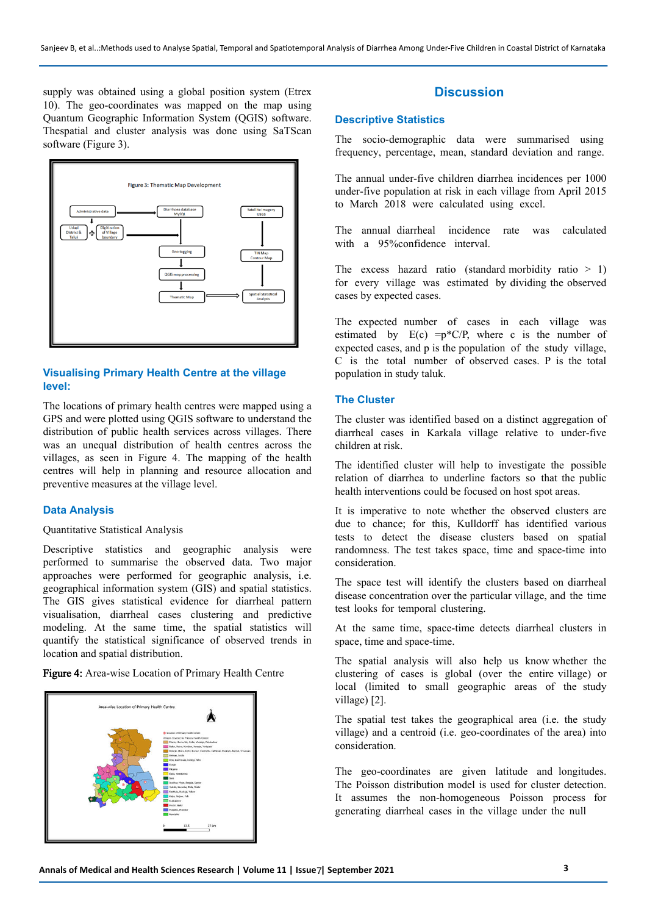supply was obtained using a global position system (Etrex 10). The geo-coordinates was mapped on the map using Quantum Geographic Information System (QGIS) software. Thespatial and cluster analysis was done using SaTScan software (Figure 3).



## **Visualising Primary Health Centre at the village level:**

The locations of primary health centres were mapped using a GPS and were plotted using QGIS software to understand the distribution of public health services across villages. There was an unequal distribution of health centres across the villages, as seen in Figure 4. The mapping of the health centres will help in planning and resource allocation and preventive measures at the village level.

## **Data Analysis**

#### Quantitative Statistical Analysis

Descriptive statistics and geographic analysis were performed to summarise the observed data. Two major approaches were performed for geographic analysis, i.e. geographical information system (GIS) and spatial statistics. The GIS gives statistical evidence for diarrheal pattern visualisation, diarrheal cases clustering and predictive modeling. At the same time, the spatial statistics will quantify the statistical significance of observed trends in location and spatial distribution.

Figure 4: Area-wise Location of Primary Health Centre



## **Discussion**

#### **Descriptive Statistics**

The socio-demographic data were summarised using frequency, percentage, mean, standard deviation and range.

The annual under-five children diarrhea incidences per 1000 under-five population at risk in each village from April 2015 to March 2018 were calculated using excel.

The annual diarrheal incidence rate was calculated with a 95% confidence interval.

The excess hazard ratio (standard morbidity ratio  $> 1$ ) for every village was estimated by dividing the observed cases by expected cases.

The expected number of cases in each village was estimated by  $E(c) = p^*C/P$ , where c is the number of expected cases, and p is the population of the study village, C is the total number of observed cases. P is the total population in study taluk.

#### **The Cluster**

The cluster was identified based on a distinct aggregation of diarrheal cases in Karkala village relative to under-five children at risk.

The identified cluster will help to investigate the possible relation of diarrhea to underline factors so that the public health interventions could be focused on host spot areas.

It is imperative to note whether the observed clusters are due to chance; for this, Kulldorff has identified various tests to detect the disease clusters based on spatial randomness. The test takes space, time and space-time into consideration.

The space test will identify the clusters based on diarrheal disease concentration over the particular village, and the time test looks for temporal clustering.

At the same time, space-time detects diarrheal clusters in space, time and space-time.

The spatial analysis will also help us know whether the clustering of cases is global (over the entire village) or local (limited to small geographic areas of the study village) [2].

The spatial test takes the geographical area (i.e. the study village) and a centroid (i.e. geo-coordinates of the area) into consideration.

The geo-coordinates are given latitude and longitudes. The Poisson distribution model is used for cluster detection. It assumes the non-homogeneous Poisson process for generating diarrheal cases in the village under the null